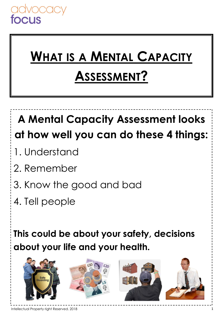# **WHAT IS A MENTAL CAPACITY ASSESSMENT?**

# **A Mental Capacity Assessment looks at how well you can do these 4 things:**

- 1. Understand
- 2. Remember
- 3. Know the good and bad
- 4. Tell people

**This could be about your safety, decisions about your life and your health.** 

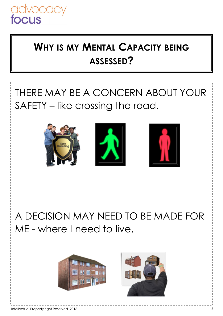

## **WHY IS MY MENTAL CAPACITY BEING ASSESSED?**

## THERE MAY BE A CONCERN ABOUT YOUR SAFETY – like crossing the road.



A DECISION MAY NEED TO BE MADE FOR ME - where I need to live.



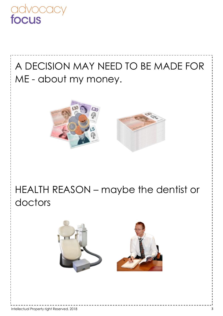

## A DECISION MAY NEED TO BE MADE FOR ME - about my money.



#### HEALTH REASON – maybe the dentist or doctors

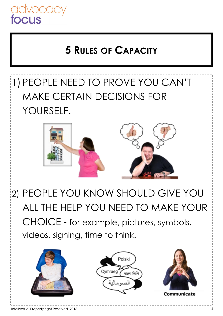

#### **5 RULES OF CAPACITY**

## 1) PEOPLE NEED TO PROVE YOU CAN'T MAKE CERTAIN DECISIONS FOR YOURSELF.



2) PEOPLE YOU KNOW SHOULD GIVE YOU ALL THE HELP YOU NEED TO MAKE YOUR CHOICE - for example, pictures, symbols, videos, signing, time to think.

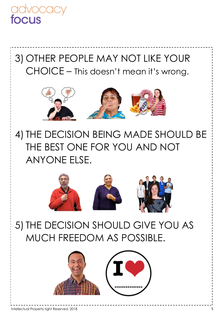

3) OTHER PEOPLE MAY NOT LIKE YOUR CHOICE – This doesn't mean it's wrong.



4) THE DECISION BEING MADE SHOULD BE THE BEST ONE FOR YOU AND NOT ANYONE ELSE.



5) THE DECISION SHOULD GIVE YOU AS MUCH FREEDOM AS POSSIBLE.

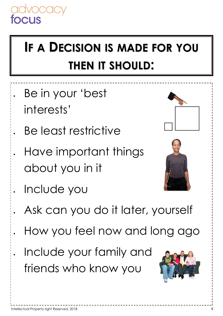# **IF A DECISION IS MADE FOR YOU THEN IT SHOULD:**

- Be in your 'best interests'
- Be least restrictive
- Have important things about you in it
- 
- Include you
- Ask can you do it later, yourself
- How you feel now and long ago
- Include your family and friends who know you

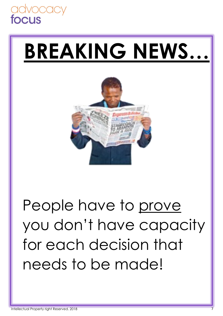

# **BREAKING NEWS…**



# People have to prove you don't have capacity for each decision that needs to be made!